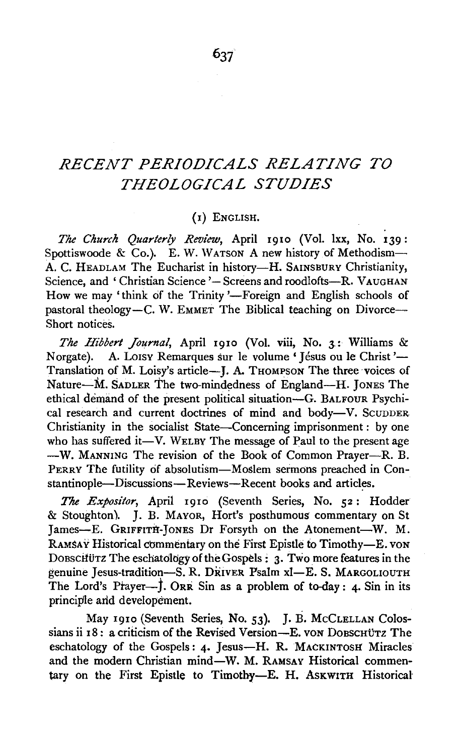# *RECENT PERIODICALS RELATING TO THEOLOGICAL STUDIES*

#### (I) ENGLISH.

*The Church Quarterly Review,* April 1910 (Vol. lxx, No. 139 : Spottiswoode & Co.). E. W. WATSON A new history of Methodism-A. C. HEADLAM The Eucharist in history-H. SAINSBURY Christianity, Science, and 'Christian Science '- Screens and roodlofts--R. VAUGHAN How we may 'think of the Trinity '-Foreign and English schools of pastoral theology-C. W. EMMET The Biblical teaching on Divorce--Short notices.

*The Hibbert Journal,* April 1910 (Vol. viii, No. 3.: Williams & Norgate). A. Loisy Remarques sur le volume 'Jésus ou le Christ'-Translation of M. Loisy's article-J. A. THOMPSON The three voices of Nature-M. SADLER The two-mindedness of England-H. JONES The ethical demand of the present political situation-G. BALFOUR Psychical research and current doctrines of mind and body-V. SCUDDER Christianity in the socialist State-Concerning imprisonment : by one who has suffered it—V. WELBY The message of Paul to the present age -W. MANNING The revision of the Book of Common Prayer--R. B. PERRY The futility of absolutism-Moslem sermons preached in Constantinople-Discussions-Reviews-Recent books and articles.

*The Expositor,* April 1910 (Seventh Series, No. 52: Hodder & Stoughton). J. B. MAYOR, Hort's posthumous commentary on St James-E. GRIFFITH-JONES Dr Forsyth on the Atonement-W. M. RAMSAY Historical commentary on the First Epistle to Timothy-E. VON DoBschurz The eschatology of the Gospels : 3. Two more features in the genuine Jesus-tradition-8. R. DRIVER Psalm xi-E. S. MARGOLIOUTH The Lord's Prayer- $\dot{f}$ . ORR Sin as a problem of to-day: 4. Sin in its principle arid developement.

May 1910 (Seventh Series, No. 53). J. B. McCLELLAN Colossians ii 18: a criticism of the Revised Version-E. von Dobschütz The eschatology of the Gospels: 4. Jesus-H. R. MACKINTOSH Miracles and the modern Christian mind-W. M. RAMSAY Historical commentary on the First Epistle to Timothy-E. H. ASKWITH Historical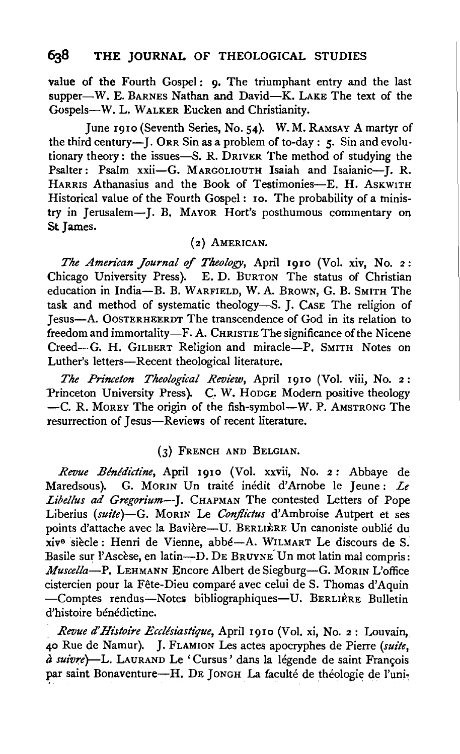value of the Fourth Gospel: 9. The triumphant entry and the last supper-W. E. BARNES Nathan and David-K. LAKE The text of the Gospels-W. L. WALKER Eucken and Christianity.

June 1910 (Seventh Series, No. 54). W. M. RAMSAY A martyr of the third century-J. ORR Sin as a problem of to-day :  $5$ . Sin and evolutionary theory : the issues-S. R. DRIVER The method of studying the Psalter: Psalm xxii-G. MARGOLIOUTH Isaiah and Isaianic-I. R. HARRIS Athanasius and the Book of Testimonies-E. H. ASKWITH Historical value of the Fourth Gospel: 10. The probability of a ministry in Jerusalem-]. B. MAYOR Hort's posthumous commentary on St James.

## (2) AMERICAN.

*The American Journal of Tlteology,* April 1910 (Vol. xiv, No. 2: Chicago University Press). E. D. BuRTON The status of Christian education in India-B. B. WARFIELD, W. A. BROWN, G. B. SMITH The task and method of systematic theology-S. J. CASE The religion of Jesus-A. OOSTERHEERDT The transcendence of God in its relation to freedom and immortality-F. A. CHRISTIE The significance of the Nicene Creed-G. H. GILBERT Religion and miracle-P. SMITH Notes on Luther's letters-Recent theological literature.

*The Prince/on Theological Review,* April 1910 (Vol. viii, No. 2: Princeton University Press). C. W. HODGE Modern positive theology -C. R. MoREY The origin of the fish-symbol-W. P. AMSTRONG The resurrection of Jesus-Reviews of recent literature.

## (3) FRENCH AND BELGIAN.

*Revue Blnldictine,* April 1910 (Vol. xxvii, No. 2 : Abbaye de Maredsous). G. MORIN Un traite inedit d'Arnobe le Jeune: *Le Libel!us ad Gregorium-*J. CHAPMAN The contested Letters of Pope Liberius *(suite)-G.* MoRIN Le *Conjlictus* d'Ambroise Autpert et ses points d'attache avec la Bavière-U. BERLIÈRE Un canoniste oublié du xive siecle : Henri de Vienne, abbe-A. WILMART Le discours de S. Basile sur l'Ascèse, en latin---D. DE BRUYNE Un mot latin mal compris: *Muscella-P.* LEHMANN Encore Albert de Siegburg-G. MORIN L'office cistercien pour la Fête-Dieu comparé avec celui de S. Thomas d'Aquin -Comptes rendus-Notes bibliographiques-U. BERLIÈRE Bulletin d'histoire bénédictine.

*Revue d'Hi'stoire Eccllsiastique,* April 1910 (Vol. xi, No. 2: Louvain, 40 Rue de Namur). J. FLAMION Les actes apocryphes de Pierre *(suite, à suivre*)-L. LAURAND Le 'Cursus' dans la légende de saint François par saint Bonaventure-H. DE JONGH La faculté de théologie de l'uni-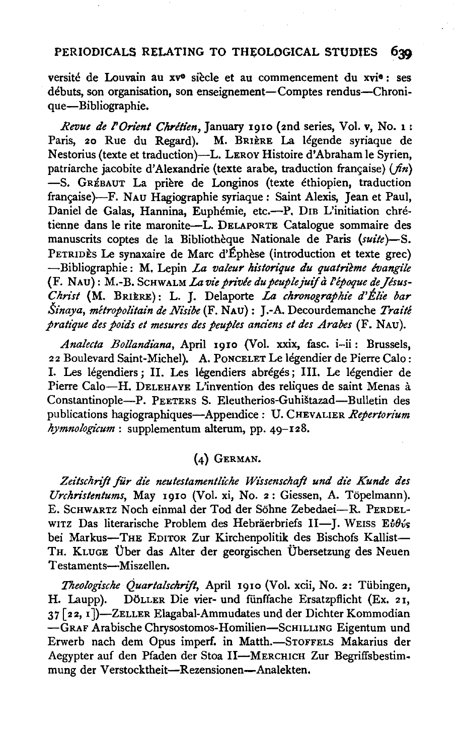#### PERIODICALS RELATING TO THEOLOGICAL STUDIES 630

versite de Louvain au xve siecle et au commencement du xvie : ses débuts, son organisation, son enseignement-Comptes rendus-Chronique-Bibliographie.

*Revue de l'Orient Chrétien*, January 1910 (2nd series, Vol. v, No. 1 : Paris, 20 Rue du Regard). M. BRIÈRE La légende syriaque de Nestorius (texte et traduction)-L. LEROY Histoire d'Abraham le Syrien, patriarche jacobite d'Alexandrie (texte arabe, traduction française) (fin) -S. GRÉBAUT La prière de Longinos (texte éthiopien, traduction française)-F. NAU Hagiographie syriaque: Saint Alexis, Jean et Paul, Daniel de Galas, Hannina, Euphémie, etc.--P. DIB L'initiation chrétienne dans le rite maronite-L. DELAPORTE Catalogue sommaire des manuscrits coptes de la Bibliotheque Nationale de Paris *(suite)-S.*  PETRIDÈS Le synaxaire de Marc d'Éphèse (introduction et texte grec) -Bibliographie: M. Lepin *La valeur historique du quatrième évangile* (F. NAU): M.-B. SCHWALM *La vie privée du peuple juif à l'époque de Jésus-Chn"st* (M. BRIERE): L. J. Delaporte *La chronographic d'Elie bar Sinaya, metropolitain de Nt"sibe* (F. NAU): J.-A. Decourdemanche *Traite pratique des poids et mesures des peuples anciens el des Arabes* (F. NAu).

*Analecla Bollandiana,* April 1910 (Vol. xxix, fasc. i-ii: Brussels, 22 Boulevard Saint-Michel). A. PoNCELET Le Iegendier de Pierre Calo: I. Les legendiers ; II. Les legendiers abreges ; Ill. Le legendier de Pierre Calo-H. DELEHAYE L'invention des reliques de saint Menas à Constantinople-P. PEETERS S. Eleutherios-Guhistazad-Bulletin des publications hagiographiques-Appendice: U. CHEVALIER *Repertorium hymnologicum:* supplementum alterum, pp. 49-128.

## (4) GERMAN.

Zeitschrift für die neutestamentliche Wissenschaft und die Kunde des *Urchn'stentums,* May 1910 (Vol. xi, No. 2: Giessen, A. Topelmann). E. ScHWARTZ Noch einmal der Tod der Sohne Zebedaei-R. PERDELwitz Das literarische Problem des Hebräerbriefs II-J. WEISS Eidis bei Markus-THE EDITOR Zur Kirchenpolitik des Bischofs Kallist-TH. KLUGE Über das Alter der georgischen Übersetzung des Neuen Testaments-Miszellen.

*Theologische Quartalschrijt,* April 1910 (Vol. xcii, No. 2: Tiibingen, H. Laupp). DÖLLER Die vier- und fünffache Ersatzpflicht (Ex. 21, 37 [ 22, 1 ])-ZELLER Elagabal-Ammudates und der Dichter Kommodian -GRAF Arabische Chrysostomos-Homilien-ScHILLING Eigentum und Erwerb nach dem Opus imperf. in Matth.-STOFFELS Makarius der Aegypter auf den Pfaden der Stoa II-MERCHICH Zur Begriffsbestimmung der Verstocktheit-Rezensionen-Analekten.